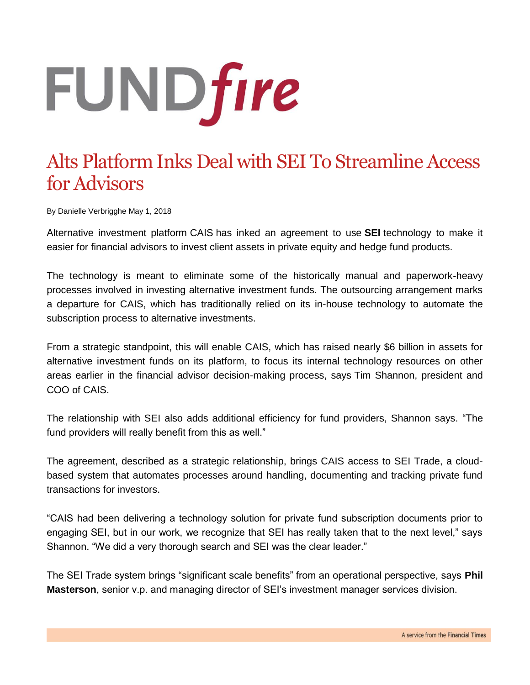## **FUNDfire**

## Alts Platform Inks Deal with SEI To Streamline Access for Advisors

By Danielle Verbrigghe May 1, 2018

Alternative investment platform CAIS has inked an agreement to use **SEI** technology to make it easier for financial advisors to invest client assets in private equity and hedge fund products.

The technology is meant to eliminate some of the historically manual and paperwork-heavy processes involved in investing alternative investment funds. The outsourcing arrangement marks a departure for CAIS, which has traditionally relied on its in-house technology to automate the subscription process to alternative investments.

From a strategic standpoint, this will enable CAIS, which has raised nearly \$6 billion in assets for alternative investment funds on its platform, to focus its internal technology resources on other areas earlier in the financial advisor decision-making process, says Tim Shannon, president and COO of CAIS.

The relationship with SEI also adds additional efficiency for fund providers, Shannon says. "The fund providers will really benefit from this as well."

The agreement, described as a strategic relationship, brings CAIS access to SEI Trade, a cloudbased system that automates processes around handling, documenting and tracking private fund transactions for investors.

"CAIS had been delivering a technology solution for private fund subscription documents prior to engaging SEI, but in our work, we recognize that SEI has really taken that to the next level," says Shannon. "We did a very thorough search and SEI was the clear leader."

The SEI Trade system brings "significant scale benefits" from an operational perspective, says **Phil Masterson**, senior v.p. and managing director of SEI's investment manager services division.